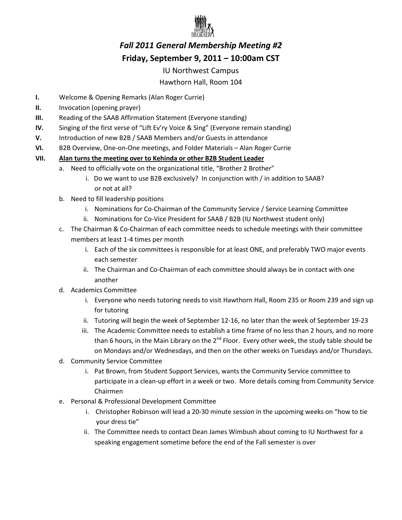

# *Fall 2011 General Membership Meeting #2*  **Friday, September 9, 2011 – 10:00am CST**

### IU Northwest Campus

## Hawthorn Hall, Room 104

- **I.** Welcome & Opening Remarks (Alan Roger Currie)
- **II.** Invocation (opening prayer)
- **III.** Reading of the SAAB Affirmation Statement (Everyone standing)
- **IV.** Singing of the first verse of "Lift Ev'ry Voice & Sing" (Everyone remain standing)
- **V.** Introduction of new B2B / SAAB Members and/or Guests in attendance
- **VI.** B2B Overview, One-on-One meetings, and Folder Materials Alan Roger Currie

### **VII. Alan turns the meeting over to Kehinda or other B2B Student Leader**

- a. Need to officially vote on the organizational title, "Brother 2 Brother"
	- i. Do we want to use B2B exclusively? In conjunction with / in addition to SAAB? or not at all?
- b. Need to fill leadership positions
	- i. Nominations for Co-Chairman of the Community Service / Service Learning Committee
	- ii. Nominations for Co-Vice President for SAAB / B2B (IU Northwest student only)
- c. The Chairman & Co-Chairman of each committee needs to schedule meetings with their committee members at least 1-4 times per month
	- i. Each of the six committees is responsible for at least ONE, and preferably TWO major events each semester
	- ii. The Chairman and Co-Chairman of each committee should always be in contact with one another
- d. Academics Committee
	- i. Everyone who needs tutoring needs to visit Hawthorn Hall, Room 235 or Room 239 and sign up for tutoring
	- ii. Tutoring will begin the week of September 12-16, no later than the week of September 19-23
	- iii. The Academic Committee needs to establish a time frame of no less than 2 hours, and no more than 6 hours, in the Main Library on the 2<sup>nd</sup> Floor. Every other week, the study table should be on Mondays and/or Wednesdays, and then on the other weeks on Tuesdays and/or Thursdays.
- d. Community Service Committee
	- i. Pat Brown, from Student Support Services, wants the Community Service committee to participate in a clean-up effort in a week or two. More details coming from Community Service Chairmen
- e. Personal & Professional Development Committee
	- i. Christopher Robinson will lead a 20-30 minute session in the upcoming weeks on "how to tie your dress tie"
	- ii. The Committee needs to contact Dean James Wimbush about coming to IU Northwest for a speaking engagement sometime before the end of the Fall semester is over